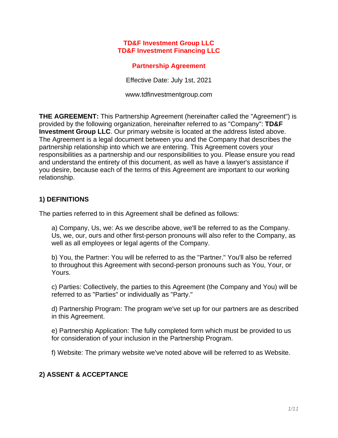#### **TD&F Investment Group LLC TD&F Investment Financing LLC**

### **Partnership Agreement**

Effective Date: July 1st, 2021

www.tdfinvestmentgroup.com

**THE AGREEMENT:** This Partnership Agreement (hereinafter called the "Agreement") is provided by the following organization, hereinafter referred to as "Company": **TD&F Investment Group LLC**. Our primary website is located at the address listed above. The Agreement is a legal document between you and the Company that describes the partnership relationship into which we are entering. This Agreement covers your responsibilities as a partnership and our responsibilities to you. Please ensure you read and understand the entirety of this document, as well as have a lawyer's assistance if you desire, because each of the terms of this Agreement are important to our working relationship.

## **1) DEFINITIONS**

The parties referred to in this Agreement shall be defined as follows:

a) Company, Us, we: As we describe above, we'll be referred to as the Company. Us, we, our, ours and other first-person pronouns will also refer to the Company, as well as all employees or legal agents of the Company.

b) You, the Partner: You will be referred to as the "Partner." You'll also be referred to throughout this Agreement with second-person pronouns such as You, Your, or Yours.

c) Parties: Collectively, the parties to this Agreement (the Company and You) will be referred to as "Parties" or individually as "Party."

d) Partnership Program: The program we've set up for our partners are as described in this Agreement.

e) Partnership Application: The fully completed form which must be provided to us for consideration of your inclusion in the Partnership Program.

f) Website: The primary website we've noted above will be referred to as Website.

# **2) ASSENT & ACCEPTANCE**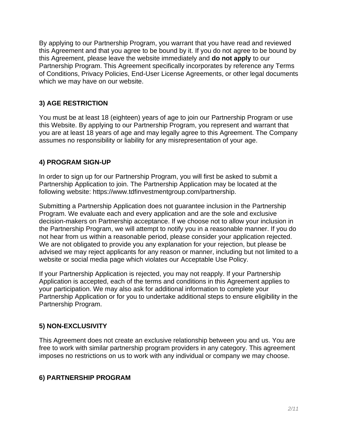By applying to our Partnership Program, you warrant that you have read and reviewed this Agreement and that you agree to be bound by it. If you do not agree to be bound by this Agreement, please leave the website immediately and **do not apply** to our Partnership Program. This Agreement specifically incorporates by reference any Terms of Conditions, Privacy Policies, End-User License Agreements, or other legal documents which we may have on our website.

# **3) AGE RESTRICTION**

You must be at least 18 (eighteen) years of age to join our Partnership Program or use this Website. By applying to our Partnership Program, you represent and warrant that you are at least 18 years of age and may legally agree to this Agreement. The Company assumes no responsibility or liability for any misrepresentation of your age.

# **4) PROGRAM SIGN-UP**

In order to sign up for our Partnership Program, you will first be asked to submit a Partnership Application to join. The Partnership Application may be located at the following website: https://www.tdfinvestmentgroup.com/partnership.

Submitting a Partnership Application does not guarantee inclusion in the Partnership Program. We evaluate each and every application and are the sole and exclusive decision-makers on Partnership acceptance. If we choose not to allow your inclusion in the Partnership Program, we will attempt to notify you in a reasonable manner. If you do not hear from us within a reasonable period, please consider your application rejected. We are not obligated to provide you any explanation for your rejection, but please be advised we may reject applicants for any reason or manner, including but not limited to a website or social media page which violates our Acceptable Use Policy.

If your Partnership Application is rejected, you may not reapply. If your Partnership Application is accepted, each of the terms and conditions in this Agreement applies to your participation. We may also ask for additional information to complete your Partnership Application or for you to undertake additional steps to ensure eligibility in the Partnership Program.

# **5) NON-EXCLUSIVITY**

This Agreement does not create an exclusive relationship between you and us. You are free to work with similar partnership program providers in any category. This agreement imposes no restrictions on us to work with any individual or company we may choose.

# **6) PARTNERSHIP PROGRAM**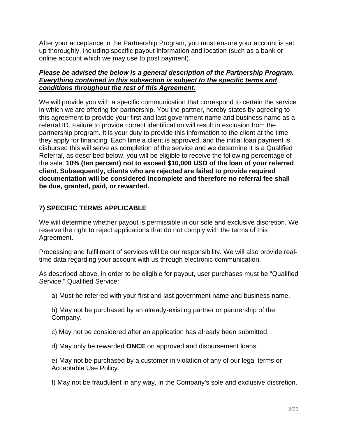After your acceptance in the Partnership Program, you must ensure your account is set up thoroughly, including specific payout information and location (such as a bank or online account which we may use to post payment).

#### *Please be advised the below is a general description of the Partnership Program. Everything contained in this subsection is subject to the specific terms and conditions throughout the rest of this Agreement.*

We will provide you with a specific communication that correspond to certain the service in which we are offering for partnership. You the partner, hereby states by agreeing to this agreement to provide your first and last government name and business name as a referral ID. Failure to provide correct identification will result in exclusion from the partnership program. It is your duty to provide this information to the client at the time they apply for financing. Each time a client is approved, and the initial loan payment is disbursed this will serve as completion of the service and we determine it is a Qualified Referral, as described below, you will be eligible to receive the following percentage of the sale: **10% (ten percent) not to exceed \$10,000 USD of the loan of your referred client. Subsequently, clients who are rejected are failed to provide required documentation will be considered incomplete and therefore no referral fee shall be due, granted, paid, or rewarded.** 

## **7) SPECIFIC TERMS APPLICABLE**

We will determine whether payout is permissible in our sole and exclusive discretion. We reserve the right to reject applications that do not comply with the terms of this Agreement.

Processing and fulfillment of services will be our responsibility. We will also provide realtime data regarding your account with us through electronic communication.

As described above, in order to be eligible for payout, user purchases must be "Qualified Service." Qualified Service:

a) Must be referred with your first and last government name and business name.

b) May not be purchased by an already-existing partner or partnership of the Company.

c) May not be considered after an application has already been submitted.

d) May only be rewarded **ONCE** on approved and disbursement loans.

e) May not be purchased by a customer in violation of any of our legal terms or Acceptable Use Policy.

f) May not be fraudulent in any way, in the Company's sole and exclusive discretion.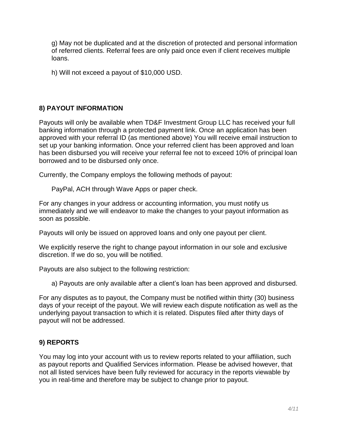g) May not be duplicated and at the discretion of protected and personal information of referred clients. Referral fees are only paid once even if client receives multiple loans.

h) Will not exceed a payout of \$10,000 USD.

## **8) PAYOUT INFORMATION**

Payouts will only be available when TD&F Investment Group LLC has received your full banking information through a protected payment link. Once an application has been approved with your referral ID (as mentioned above) You will receive email instruction to set up your banking information. Once your referred client has been approved and loan has been disbursed you will receive your referral fee not to exceed 10% of principal loan borrowed and to be disbursed only once.

Currently, the Company employs the following methods of payout:

PayPal, ACH through Wave Apps or paper check.

For any changes in your address or accounting information, you must notify us immediately and we will endeavor to make the changes to your payout information as soon as possible.

Payouts will only be issued on approved loans and only one payout per client.

We explicitly reserve the right to change payout information in our sole and exclusive discretion. If we do so, you will be notified.

Payouts are also subject to the following restriction:

a) Payouts are only available after a client's loan has been approved and disbursed.

For any disputes as to payout, the Company must be notified within thirty (30) business days of your receipt of the payout. We will review each dispute notification as well as the underlying payout transaction to which it is related. Disputes filed after thirty days of payout will not be addressed.

#### **9) REPORTS**

You may log into your account with us to review reports related to your affiliation, such as payout reports and Qualified Services information. Please be advised however, that not all listed services have been fully reviewed for accuracy in the reports viewable by you in real-time and therefore may be subject to change prior to payout.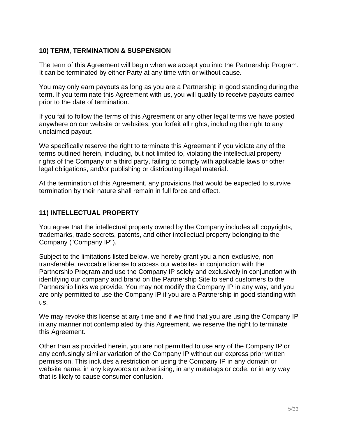#### **10) TERM, TERMINATION & SUSPENSION**

The term of this Agreement will begin when we accept you into the Partnership Program. It can be terminated by either Party at any time with or without cause.

You may only earn payouts as long as you are a Partnership in good standing during the term. If you terminate this Agreement with us, you will qualify to receive payouts earned prior to the date of termination.

If you fail to follow the terms of this Agreement or any other legal terms we have posted anywhere on our website or websites, you forfeit all rights, including the right to any unclaimed payout.

We specifically reserve the right to terminate this Agreement if you violate any of the terms outlined herein, including, but not limited to, violating the intellectual property rights of the Company or a third party, failing to comply with applicable laws or other legal obligations, and/or publishing or distributing illegal material.

At the termination of this Agreement, any provisions that would be expected to survive termination by their nature shall remain in full force and effect.

#### **11) INTELLECTUAL PROPERTY**

You agree that the intellectual property owned by the Company includes all copyrights, trademarks, trade secrets, patents, and other intellectual property belonging to the Company ("Company IP").

Subject to the limitations listed below, we hereby grant you a non-exclusive, nontransferable, revocable license to access our websites in conjunction with the Partnership Program and use the Company IP solely and exclusively in conjunction with identifying our company and brand on the Partnership Site to send customers to the Partnership links we provide. You may not modify the Company IP in any way, and you are only permitted to use the Company IP if you are a Partnership in good standing with us.

We may revoke this license at any time and if we find that you are using the Company IP in any manner not contemplated by this Agreement, we reserve the right to terminate this Agreement.

Other than as provided herein, you are not permitted to use any of the Company IP or any confusingly similar variation of the Company IP without our express prior written permission. This includes a restriction on using the Company IP in any domain or website name, in any keywords or advertising, in any metatags or code, or in any way that is likely to cause consumer confusion.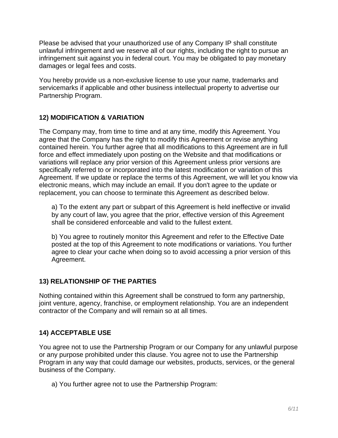Please be advised that your unauthorized use of any Company IP shall constitute unlawful infringement and we reserve all of our rights, including the right to pursue an infringement suit against you in federal court. You may be obligated to pay monetary damages or legal fees and costs.

You hereby provide us a non-exclusive license to use your name, trademarks and servicemarks if applicable and other business intellectual property to advertise our Partnership Program.

## **12) MODIFICATION & VARIATION**

The Company may, from time to time and at any time, modify this Agreement. You agree that the Company has the right to modify this Agreement or revise anything contained herein. You further agree that all modifications to this Agreement are in full force and effect immediately upon posting on the Website and that modifications or variations will replace any prior version of this Agreement unless prior versions are specifically referred to or incorporated into the latest modification or variation of this Agreement. If we update or replace the terms of this Agreement, we will let you know via electronic means, which may include an email. If you don't agree to the update or replacement, you can choose to terminate this Agreement as described below.

a) To the extent any part or subpart of this Agreement is held ineffective or invalid by any court of law, you agree that the prior, effective version of this Agreement shall be considered enforceable and valid to the fullest extent.

b) You agree to routinely monitor this Agreement and refer to the Effective Date posted at the top of this Agreement to note modifications or variations. You further agree to clear your cache when doing so to avoid accessing a prior version of this Agreement.

# **13) RELATIONSHIP OF THE PARTIES**

Nothing contained within this Agreement shall be construed to form any partnership, joint venture, agency, franchise, or employment relationship. You are an independent contractor of the Company and will remain so at all times.

# **14) ACCEPTABLE USE**

You agree not to use the Partnership Program or our Company for any unlawful purpose or any purpose prohibited under this clause. You agree not to use the Partnership Program in any way that could damage our websites, products, services, or the general business of the Company.

a) You further agree not to use the Partnership Program: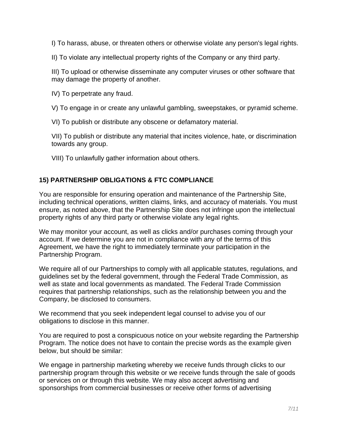I) To harass, abuse, or threaten others or otherwise violate any person's legal rights.

II) To violate any intellectual property rights of the Company or any third party.

III) To upload or otherwise disseminate any computer viruses or other software that may damage the property of another.

IV) To perpetrate any fraud.

V) To engage in or create any unlawful gambling, sweepstakes, or pyramid scheme.

VI) To publish or distribute any obscene or defamatory material.

VII) To publish or distribute any material that incites violence, hate, or discrimination towards any group.

VIII) To unlawfully gather information about others.

## **15) PARTNERSHIP OBLIGATIONS & FTC COMPLIANCE**

You are responsible for ensuring operation and maintenance of the Partnership Site, including technical operations, written claims, links, and accuracy of materials. You must ensure, as noted above, that the Partnership Site does not infringe upon the intellectual property rights of any third party or otherwise violate any legal rights.

We may monitor your account, as well as clicks and/or purchases coming through your account. If we determine you are not in compliance with any of the terms of this Agreement, we have the right to immediately terminate your participation in the Partnership Program.

We require all of our Partnerships to comply with all applicable statutes, regulations, and guidelines set by the federal government, through the Federal Trade Commission, as well as state and local governments as mandated. The Federal Trade Commission requires that partnership relationships, such as the relationship between you and the Company, be disclosed to consumers.

We recommend that you seek independent legal counsel to advise you of our obligations to disclose in this manner.

You are required to post a conspicuous notice on your website regarding the Partnership Program. The notice does not have to contain the precise words as the example given below, but should be similar:

We engage in partnership marketing whereby we receive funds through clicks to our partnership program through this website or we receive funds through the sale of goods or services on or through this website. We may also accept advertising and sponsorships from commercial businesses or receive other forms of advertising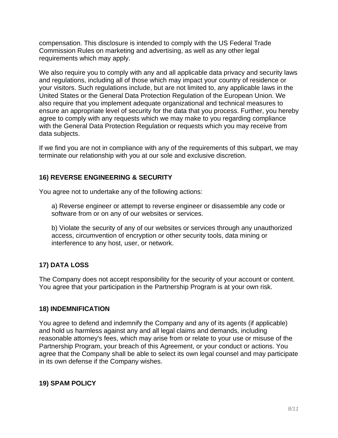compensation. This disclosure is intended to comply with the US Federal Trade Commission Rules on marketing and advertising, as well as any other legal requirements which may apply.

We also require you to comply with any and all applicable data privacy and security laws and regulations, including all of those which may impact your country of residence or your visitors. Such regulations include, but are not limited to, any applicable laws in the United States or the General Data Protection Regulation of the European Union. We also require that you implement adequate organizational and technical measures to ensure an appropriate level of security for the data that you process. Further, you hereby agree to comply with any requests which we may make to you regarding compliance with the General Data Protection Regulation or requests which you may receive from data subjects.

If we find you are not in compliance with any of the requirements of this subpart, we may terminate our relationship with you at our sole and exclusive discretion.

## **16) REVERSE ENGINEERING & SECURITY**

You agree not to undertake any of the following actions:

a) Reverse engineer or attempt to reverse engineer or disassemble any code or software from or on any of our websites or services.

b) Violate the security of any of our websites or services through any unauthorized access, circumvention of encryption or other security tools, data mining or interference to any host, user, or network.

# **17) DATA LOSS**

The Company does not accept responsibility for the security of your account or content. You agree that your participation in the Partnership Program is at your own risk.

#### **18) INDEMNIFICATION**

You agree to defend and indemnify the Company and any of its agents (if applicable) and hold us harmless against any and all legal claims and demands, including reasonable attorney's fees, which may arise from or relate to your use or misuse of the Partnership Program, your breach of this Agreement, or your conduct or actions. You agree that the Company shall be able to select its own legal counsel and may participate in its own defense if the Company wishes.

#### **19) SPAM POLICY**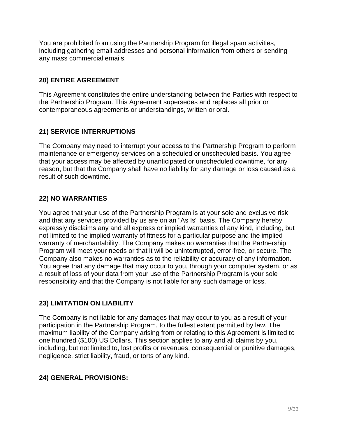You are prohibited from using the Partnership Program for illegal spam activities, including gathering email addresses and personal information from others or sending any mass commercial emails.

### **20) ENTIRE AGREEMENT**

This Agreement constitutes the entire understanding between the Parties with respect to the Partnership Program. This Agreement supersedes and replaces all prior or contemporaneous agreements or understandings, written or oral.

# **21) SERVICE INTERRUPTIONS**

The Company may need to interrupt your access to the Partnership Program to perform maintenance or emergency services on a scheduled or unscheduled basis. You agree that your access may be affected by unanticipated or unscheduled downtime, for any reason, but that the Company shall have no liability for any damage or loss caused as a result of such downtime.

# **22) NO WARRANTIES**

You agree that your use of the Partnership Program is at your sole and exclusive risk and that any services provided by us are on an "As Is" basis. The Company hereby expressly disclaims any and all express or implied warranties of any kind, including, but not limited to the implied warranty of fitness for a particular purpose and the implied warranty of merchantability. The Company makes no warranties that the Partnership Program will meet your needs or that it will be uninterrupted, error-free, or secure. The Company also makes no warranties as to the reliability or accuracy of any information. You agree that any damage that may occur to you, through your computer system, or as a result of loss of your data from your use of the Partnership Program is your sole responsibility and that the Company is not liable for any such damage or loss.

# **23) LIMITATION ON LIABILITY**

The Company is not liable for any damages that may occur to you as a result of your participation in the Partnership Program, to the fullest extent permitted by law. The maximum liability of the Company arising from or relating to this Agreement is limited to one hundred (\$100) US Dollars. This section applies to any and all claims by you, including, but not limited to, lost profits or revenues, consequential or punitive damages, negligence, strict liability, fraud, or torts of any kind.

# **24) GENERAL PROVISIONS:**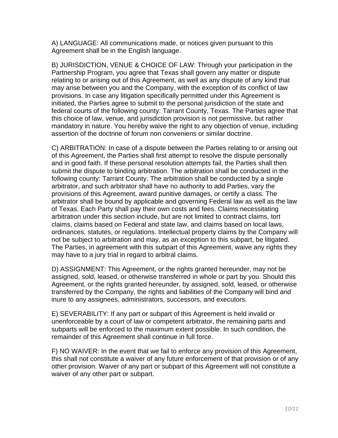A) LANGUAGE: All communications made, or notices given pursuant to this Agreement shall be in the English language.

B) JURISDICTION, VENUE & CHOICE OF LAW: Through your participation in the Partnership Program, you agree that Texas shall govern any matter or dispute relating to or arising out of this Agreement, as well as any dispute of any kind that may arise between you and the Company, with the exception of its conflict of law provisions. In case any litigation specifically permitted under this Agreement is initiated, the Parties agree to submit to the personal jurisdiction of the state and federal courts of the following county: Tarrant County, Texas. The Parties agree that this choice of law, venue, and jurisdiction provision is not permissive, but rather mandatory in nature. You hereby waive the right to any objection of venue, including assertion of the doctrine of forum non conveniens or similar doctrine.

C) ARBITRATION: In case of a dispute between the Parties relating to or arising out of this Agreement, the Parties shall first attempt to resolve the dispute personally and in good faith. If these personal resolution attempts fail, the Parties shall then submit the dispute to binding arbitration. The arbitration shall be conducted in the following county: Tarrant County. The arbitration shall be conducted by a single arbitrator, and such arbitrator shall have no authority to add Parties, vary the provisions of this Agreement, award punitive damages, or certify a class. The arbitrator shall be bound by applicable and governing Federal law as well as the law of Texas. Each Party shall pay their own costs and fees. Claims necessitating arbitration under this section include, but are not limited to contract claims, tort claims, claims based on Federal and state law, and claims based on local laws, ordinances, statutes, or regulations. Intellectual property claims by the Company will not be subject to arbitration and may, as an exception to this subpart, be litigated. The Parties, in agreement with this subpart of this Agreement, waive any rights they may have to a jury trial in regard to arbitral claims.

D) ASSIGNMENT: This Agreement, or the rights granted hereunder, may not be assigned, sold, leased, or otherwise transferred in whole or part by you. Should this Agreement, or the rights granted hereunder, by assigned, sold, leased, or otherwise transferred by the Company, the rights and liabilities of the Company will bind and inure to any assignees, administrators, successors, and executors.

E) SEVERABILITY: If any part or subpart of this Agreement is held invalid or unenforceable by a court of law or competent arbitrator, the remaining parts and subparts will be enforced to the maximum extent possible. In such condition, the remainder of this Agreement shall continue in full force.

F) NO WAIVER: In the event that we fail to enforce any provision of this Agreement, this shall not constitute a waiver of any future enforcement of that provision or of any other provision. Waiver of any part or subpart of this Agreement will not constitute a waiver of any other part or subpart.